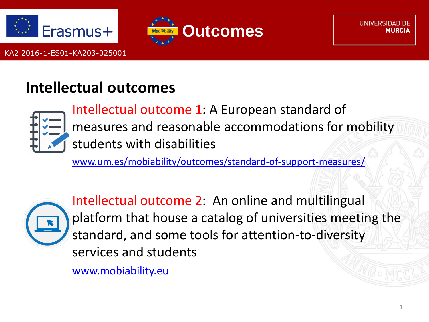



UNIVERSIDAD DE

### **Intellectual outcomes**



Intellectual outcome 1: A European standard of measures and reasonable accommodations for mobility students with disabilities

[www.um.es/mobiability/outcomes/standard-of-support-measures/](http://www.um.es/mobiability/outcomes/standard-of-support-measures/)



Intellectual outcome 2: An online and multilingual platform that house a catalog of universities meeting the standard, and some tools for attention-to-diversity services and students

[www.mobiability.eu](http://www.mobiability.eu/)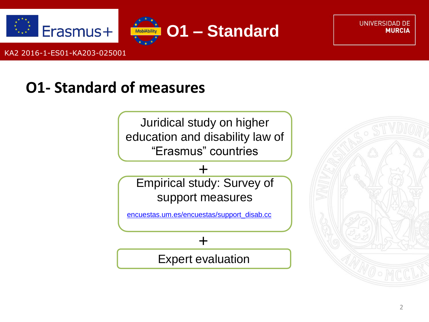



**UNIVERSIDAD DE MURCIA** 

KA2 2016-1-ES01-KA203-025001

### **O1- Standard of measures**

Juridical study on higher [education and disability law of](#page-6-0)  "Erasmus" countries

[Empirical study: Survey of](#page-6-0)  support measures +

[encuestas.um.es/encuestas/support\\_disab.cc](https://encuestas.um.es/encuestas/support_disab.cc)

+

[Expert evaluation](#page-6-0)

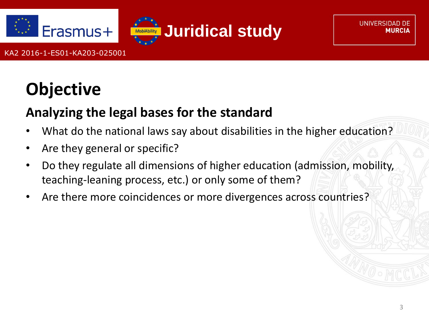



**UNIVERSIDAD DE** 

KA2 2016-1-ES01-KA203-025001

### **Objective**

#### **Analyzing the legal bases for the standard**

- What do the national laws say about disabilities in the higher education?
- Are they general or specific?
- Do they regulate all dimensions of higher education (admission, mobility, teaching-leaning process, etc.) or only some of them?
- Are there more coincidences or more divergences across countries?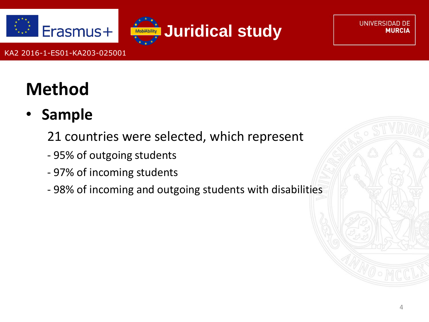



**UNIVERSIDAD DE MURCIA** 

## **Method**

• **Sample**

21 countries were selected, which represent

- 95% of outgoing students
- 97% of incoming students
- 98% of incoming and outgoing students with disabilities

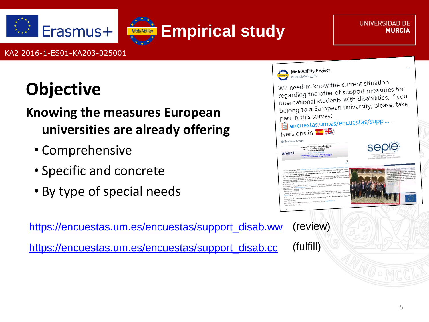



# **Objective**

### **Knowing the measures European universities are already offering**

- Comprehensive
- Specific and concrete
- By type of special needs

[https://encuestas.um.es/encuestas/support\\_disab.ww](https://encuestas.um.es/encuestas/support_disab.ww) [https://encuestas.um.es/encuestas/support\\_disab.cc](https://encuestas.um.es/encuestas/support_disab.cc)



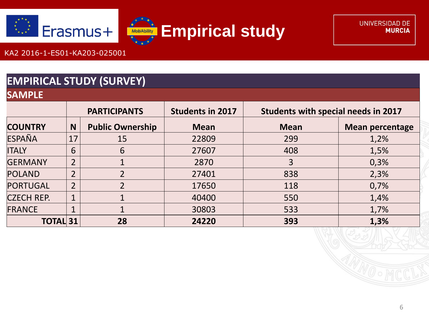



**SAMPLE**

#### **EMPIRICAL STUDY (SURVEY)**

| ________          |                     |                         |                         |                                     |                        |  |
|-------------------|---------------------|-------------------------|-------------------------|-------------------------------------|------------------------|--|
|                   | <b>PARTICIPANTS</b> |                         | <b>Students in 2017</b> | Students with special needs in 2017 |                        |  |
| <b>COUNTRY</b>    | N                   | <b>Public Ownership</b> | <b>Mean</b>             | <b>Mean</b>                         | <b>Mean percentage</b> |  |
| ESPAÑA            | 17                  | 15                      | 22809                   | 299                                 | 1,2%                   |  |
| <b>ITALY</b>      | 6                   | 6                       | 27607                   | 408                                 | 1,5%                   |  |
| <b>GERMANY</b>    | $\overline{2}$      |                         | 2870                    | 3                                   | 0,3%                   |  |
| POLAND            | $\overline{2}$      |                         | 27401                   | 838                                 | 2,3%                   |  |
| PORTUGAL          | $\overline{2}$      | $\overline{2}$          | 17650                   | 118                                 | 0,7%                   |  |
| <b>CZECH REP.</b> | 1                   |                         | 40400                   | 550                                 | 1,4%                   |  |
| FRANCE            | $\mathbf{1}$        |                         | 30803                   | 533                                 | 1,7%                   |  |
| <b>TOTAL 31</b>   |                     | 28                      | 24220                   | 393                                 | 1,3%                   |  |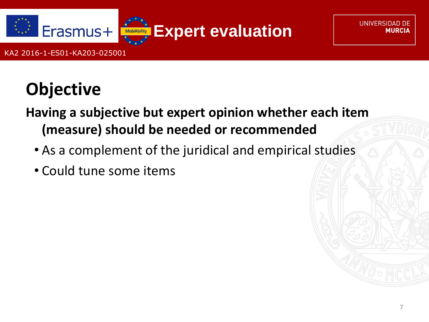<span id="page-6-0"></span>

**UNIVERSIDAD DE** 

## **Objective**

KA2 2016-1-ES01-KA203-025001

**Having a subjective but expert opinion whether each item (measure) should be needed or recommended**

- As a complement of the juridical and empirical studies
- Could tune some items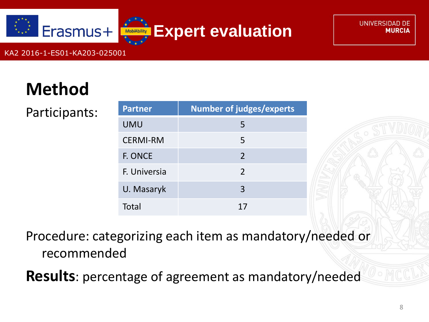

## **Method**

Participants:

| <b>Partner</b>  | <b>Number of judges/experts</b> |  |  |  |  |
|-----------------|---------------------------------|--|--|--|--|
| <b>UMU</b>      | 5                               |  |  |  |  |
| <b>CERMI-RM</b> | 5                               |  |  |  |  |
| F. ONCE         | $\mathcal{L}$                   |  |  |  |  |
| F. Universia    | $\mathcal{P}$                   |  |  |  |  |
| U. Masaryk      | 3                               |  |  |  |  |
| Total           | 17                              |  |  |  |  |

Procedure: categorizing each item as mandatory/needed or recommended

**Results**: percentage of agreement as mandatory/needed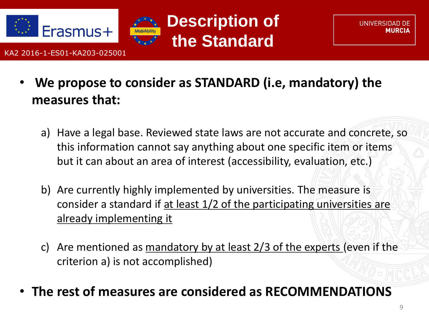





- **We propose to consider as STANDARD (i.e, mandatory) the measures that:**
	- a) Have a legal base. Reviewed state laws are not accurate and concrete, so this information cannot say anything about one specific item or items but it can about an area of interest (accessibility, evaluation, etc.)
	- b) Are currently highly implemented by universities. The measure is consider a standard if at least 1/2 of the participating universities are already implementing it
	- c) Are mentioned as mandatory by at least 2/3 of the experts (even if the criterion a) is not accomplished)
- **The rest of measures are considered as RECOMMENDATIONS**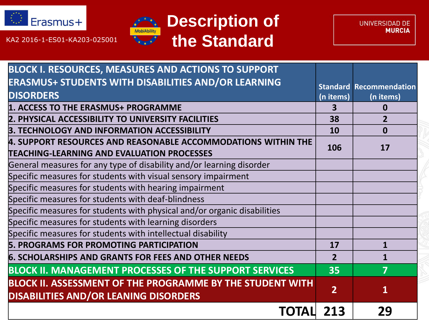



UNIVERSIDAD DE **MURCIA** 

| <b>BLOCK I. RESOURCES, MEASURES AND ACTIONS TO SUPPORT</b>                                                                |                |                                |
|---------------------------------------------------------------------------------------------------------------------------|----------------|--------------------------------|
| <b>ERASMUS+ STUDENTS WITH DISABILITIES AND/OR LEARNING</b>                                                                |                | <b>Standard Recommendation</b> |
| <b>DISORDERS</b>                                                                                                          | (n items)      | (n items)                      |
| 1. ACCESS TO THE ERASMUS+ PROGRAMME                                                                                       | 3              | $\mathbf{0}$                   |
| 2. PHYSICAL ACCESSIBILITY TO UNIVERSITY FACILITIES                                                                        | 38             | $\overline{2}$                 |
| 3. TECHNOLOGY AND INFORMATION ACCESSIBILITY                                                                               | 10             | $\mathbf 0$                    |
| 4. SUPPORT RESOURCES AND REASONABLE ACCOMMODATIONS WITHIN THE                                                             | 106            | 17                             |
| <b>TEACHING-LEARNING AND EVALUATION PROCESSES</b><br>General measures for any type of disability and/or learning disorder |                |                                |
|                                                                                                                           |                |                                |
| Specific measures for students with visual sensory impairment                                                             |                |                                |
| Specific measures for students with hearing impairment                                                                    |                |                                |
| Specific measures for students with deaf-blindness                                                                        |                |                                |
| Specific measures for students with physical and/or organic disabilities                                                  |                |                                |
| Specific measures for students with learning disorders                                                                    |                |                                |
| Specific measures for students with intellectual disability                                                               |                |                                |
| <b>5. PROGRAMS FOR PROMOTING PARTICIPATION</b>                                                                            | 17             | $\mathbf{1}$                   |
| <b>6. SCHOLARSHIPS AND GRANTS FOR FEES AND OTHER NEEDS</b>                                                                | $\overline{2}$ | 1                              |
| <b>BLOCK II. MANAGEMENT PROCESSES OF THE SUPPORT SERVICES</b>                                                             | 35             | $\overline{7}$                 |
| <b>BLOCK II. ASSESSMENT OF THE PROGRAMME BY THE STUDENT WITH</b><br><b>DISABILITIES AND/OR LEANING DISORDERS</b>          | $\overline{2}$ | $\mathbf{1}$                   |
| TOTAL                                                                                                                     | 213            | 29                             |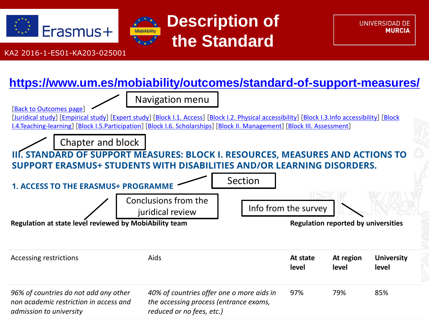





#### **<https://www.um.es/mobiability/outcomes/standard-of-support-measures/>**

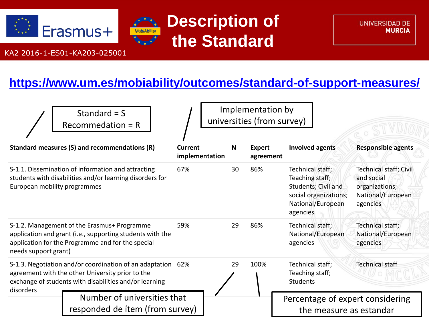





#### **<https://www.um.es/mobiability/outcomes/standard-of-support-measures/>**

|                                                                                                                                                                           | Standard = $S$<br>$Recommendation = R$                                                                                                                        | Implementation by<br>universities (from survey) |    |                            |                                                                                                                      |                                                                                                |
|---------------------------------------------------------------------------------------------------------------------------------------------------------------------------|---------------------------------------------------------------------------------------------------------------------------------------------------------------|-------------------------------------------------|----|----------------------------|----------------------------------------------------------------------------------------------------------------------|------------------------------------------------------------------------------------------------|
| Standard measures (S) and recommendations (R)                                                                                                                             |                                                                                                                                                               | Current<br>implementation                       | N  | <b>Expert</b><br>agreement | <b>Involved agents</b>                                                                                               | <b>Responsible agents</b>                                                                      |
| European mobility programmes                                                                                                                                              | S-1.1. Dissemination of information and attracting<br>students with disabilities and/or learning disorders for                                                | 67%                                             | 30 | 86%                        | Technical staff;<br>Teaching staff;<br>Students; Civil and<br>social organizations;<br>National/European<br>agencies | <b>Technical staff; Civil</b><br>and social<br>organizations;<br>National/European<br>agencies |
| needs support grant)                                                                                                                                                      | S-1.2. Management of the Erasmus+ Programme<br>application and grant (i.e., supporting students with the<br>application for the Programme and for the special | 59%                                             | 29 | 86%                        | Technical staff;<br>National/European<br>agencies                                                                    | Technical staff;<br>National/European<br>agencies                                              |
| S-1.3. Negotiation and/or coordination of an adaptation 62%<br>agreement with the other University prior to the<br>exchange of students with disabilities and/or learning |                                                                                                                                                               |                                                 | 29 | 100%                       | Technical staff;<br>Teaching staff;<br><b>Students</b>                                                               | <b>Technical staff</b>                                                                         |
| disorders                                                                                                                                                                 | Number of universities that<br>responded de ítem (from survey)                                                                                                |                                                 |    |                            | Percentage of expert considering<br>the measure as estandar                                                          |                                                                                                |